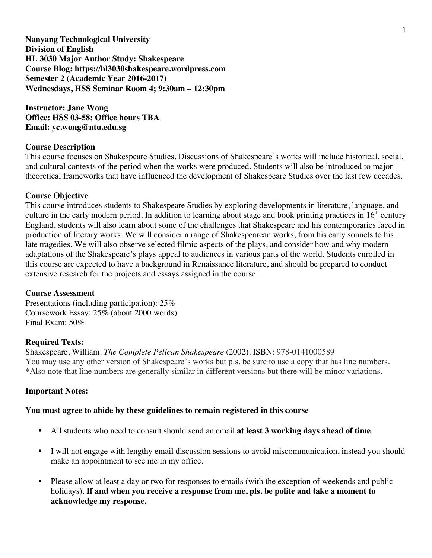**Nanyang Technological University Division of English HL 3030 Major Author Study: Shakespeare Course Blog: https://hl3030shakespeare.wordpress.com Semester 2 (Academic Year 2016-2017) Wednesdays, HSS Seminar Room 4; 9:30am – 12:30pm**

**Instructor: Jane Wong Office: HSS 03-58; Office hours TBA Email: yc.wong@ntu.edu.sg**

## **Course Description**

This course focuses on Shakespeare Studies. Discussions of Shakespeare's works will include historical, social, and cultural contexts of the period when the works were produced. Students will also be introduced to major theoretical frameworks that have influenced the development of Shakespeare Studies over the last few decades.

## **Course Objective**

This course introduces students to Shakespeare Studies by exploring developments in literature, language, and culture in the early modern period. In addition to learning about stage and book printing practices in  $16<sup>th</sup>$  century England, students will also learn about some of the challenges that Shakespeare and his contemporaries faced in production of literary works. We will consider a range of Shakespearean works, from his early sonnets to his late tragedies. We will also observe selected filmic aspects of the plays, and consider how and why modern adaptations of the Shakespeare's plays appeal to audiences in various parts of the world. Students enrolled in this course are expected to have a background in Renaissance literature, and should be prepared to conduct extensive research for the projects and essays assigned in the course.

## **Course Assessment**

Presentations (including participation): 25% Coursework Essay: 25% (about 2000 words) Final Exam: 50%

## **Required Texts:**

Shakespeare, William. *The Complete Pelican Shakespeare* (2002). ISBN: 978-0141000589 You may use any other version of Shakespeare's works but pls. be sure to use a copy that has line numbers. \*Also note that line numbers are generally similar in different versions but there will be minor variations.

## **Important Notes:**

## **You must agree to abide by these guidelines to remain registered in this course**

- All students who need to consult should send an email **at least 3 working days ahead of time**.
- I will not engage with lengthy email discussion sessions to avoid miscommunication, instead you should make an appointment to see me in my office.
- Please allow at least a day or two for responses to emails (with the exception of weekends and public holidays). **If and when you receive a response from me, pls. be polite and take a moment to acknowledge my response.**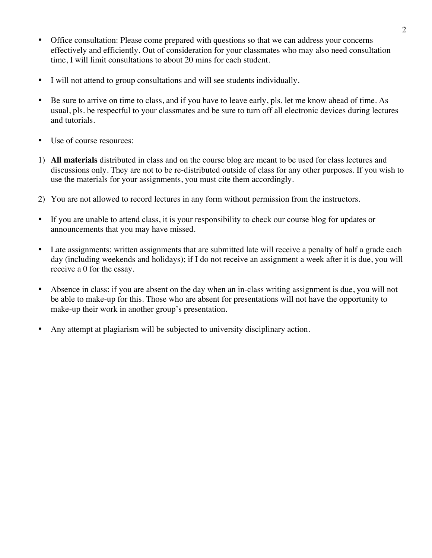- Office consultation: Please come prepared with questions so that we can address your concerns effectively and efficiently. Out of consideration for your classmates who may also need consultation time, I will limit consultations to about 20 mins for each student.
- I will not attend to group consultations and will see students individually.
- Be sure to arrive on time to class, and if you have to leave early, pls. let me know ahead of time. As usual, pls. be respectful to your classmates and be sure to turn off all electronic devices during lectures and tutorials.
- Use of course resources:
- 1) **All materials** distributed in class and on the course blog are meant to be used for class lectures and discussions only. They are not to be re-distributed outside of class for any other purposes. If you wish to use the materials for your assignments, you must cite them accordingly.
- 2) You are not allowed to record lectures in any form without permission from the instructors.
- If you are unable to attend class, it is your responsibility to check our course blog for updates or announcements that you may have missed.
- Late assignments: written assignments that are submitted late will receive a penalty of half a grade each day (including weekends and holidays); if I do not receive an assignment a week after it is due, you will receive a 0 for the essay.
- Absence in class: if you are absent on the day when an in-class writing assignment is due, you will not be able to make-up for this. Those who are absent for presentations will not have the opportunity to make-up their work in another group's presentation.
- Any attempt at plagiarism will be subjected to university disciplinary action.